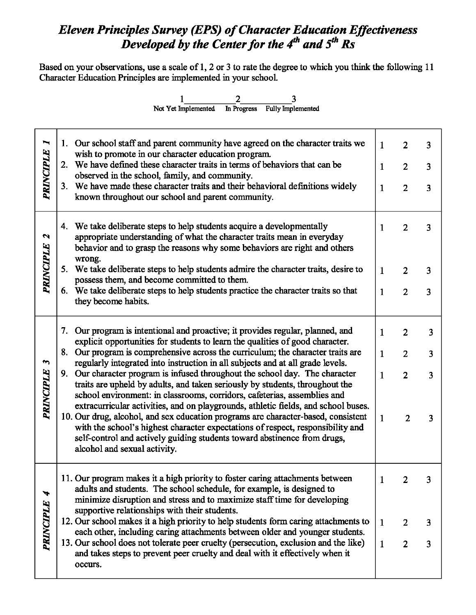## **Eleven Principles Survey (EPS) of Character Education Effectiveness** Developed by the Center for the 4<sup>th</sup> and 5<sup>th</sup> Rs

Based on your observations, use a scale of 1, 2 or 3 to rate the degree to which you think the following 11 Character Education Principles are implemented in your school.

> $1 \quad 2 \quad 3$ Not Yet hnplemented In Progress Fully hnplemented

| $\overline{\phantom{a}}$<br><b>PRINCIPLE</b> | 1. Our school staff and parent community have agreed on the character traits we<br>wish to promote in our character education program.<br>We have defined these character traits in terms of behaviors that can be<br>2.<br>observed in the school, family, and community.<br>3. We have made these character traits and their behavioral definitions widely<br>known throughout our school and parent community. | $\mathbf{1}$<br>$\mathbf{1}$<br>$\mathbf{1}$ | 2<br>$\overline{2}$<br>$\overline{2}$ | 3<br>3<br>3             |
|----------------------------------------------|-------------------------------------------------------------------------------------------------------------------------------------------------------------------------------------------------------------------------------------------------------------------------------------------------------------------------------------------------------------------------------------------------------------------|----------------------------------------------|---------------------------------------|-------------------------|
| $\boldsymbol{\mathsf{z}}$<br>PRINCIPLE       | We take deliberate steps to help students acquire a developmentally<br>4.<br>appropriate understanding of what the character traits mean in everyday<br>behavior and to grasp the reasons why some behaviors are right and others<br>wrong.                                                                                                                                                                       | $\mathbf{1}$                                 | $\overline{2}$                        | 3                       |
|                                              | 5. We take deliberate steps to help students admire the character traits, desire to                                                                                                                                                                                                                                                                                                                               | $\mathbf{1}$                                 | 2                                     | 3                       |
|                                              | possess them, and become committed to them.<br>6. We take deliberate steps to help students practice the character traits so that<br>they become habits.                                                                                                                                                                                                                                                          | $\mathbf{1}$                                 | $\overline{2}$                        | 3                       |
|                                              | Our program is intentional and proactive; it provides regular, planned, and<br>7.<br>explicit opportunities for students to learn the qualities of good character.                                                                                                                                                                                                                                                | $\mathbf{1}$                                 | $\overline{2}$                        | 3                       |
|                                              | 8. Our program is comprehensive across the curriculum; the character traits are<br>regularly integrated into instruction in all subjects and at all grade levels.                                                                                                                                                                                                                                                 | $\mathbf{1}$                                 | $\overline{2}$                        | 3                       |
| $\sim$<br>PRINCIPLE                          | 9. Our character program is infused throughout the school day. The character<br>traits are upheld by adults, and taken seriously by students, throughout the<br>school environment: in classrooms, corridors, cafeterias, assemblies and<br>extracurricular activities, and on playgrounds, athletic fields, and school buses.                                                                                    | $\mathbf{1}$                                 | $\overline{2}$                        | $\overline{\mathbf{3}}$ |
|                                              | 10. Our drug, alcohol, and sex education programs are character-based, consistent<br>with the school's highest character expectations of respect, responsibility and<br>self-control and actively guiding students toward abstinence from drugs,<br>alcohol and sexual activity.                                                                                                                                  | $\mathbf{1}$                                 | $\overline{2}$                        | 3                       |
| ₩<br>PRINCIPLE                               | 11. Our program makes it a high priority to foster caring attachments between<br>adults and students. The school schedule, for example, is designed to<br>minimize disruption and stress and to maximize staff time for developing<br>supportive relationships with their students.                                                                                                                               | 1                                            | 2                                     | 3                       |
|                                              | 12. Our school makes it a high priority to help students form caring attachments to                                                                                                                                                                                                                                                                                                                               | $\mathbf{1}$                                 | $\overline{2}$                        | 3                       |
|                                              | each other, including caring attachments between older and younger students.<br>13. Our school does not tolerate peer cruelty (persecution, exclusion and the like)<br>and takes steps to prevent peer cruelty and deal with it effectively when it<br>occurs.                                                                                                                                                    | $\mathbf{1}$                                 | $\overline{2}$                        | 3                       |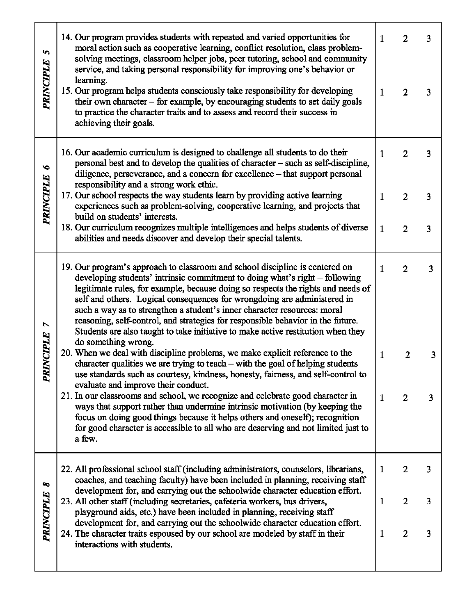| $\blacktriangleright$<br>PRINCIPLE   | 14. Our program provides students with repeated and varied opportunities for<br>moral action such as cooperative learning, conflict resolution, class problem-<br>solving meetings, classroom helper jobs, peer tutoring, school and community<br>service, and taking personal responsibility for improving one's behavior or<br>learning.                                                                                                                                                                                                                                                            | 1            | $\overline{2}$ | $\overline{\mathbf{3}}$ |
|--------------------------------------|-------------------------------------------------------------------------------------------------------------------------------------------------------------------------------------------------------------------------------------------------------------------------------------------------------------------------------------------------------------------------------------------------------------------------------------------------------------------------------------------------------------------------------------------------------------------------------------------------------|--------------|----------------|-------------------------|
|                                      | 15. Our program helps students consciously take responsibility for developing<br>their own character $-$ for example, by encouraging students to set daily goals<br>to practice the character traits and to assess and record their success in<br>achieving their goals.                                                                                                                                                                                                                                                                                                                              | $\mathbf{1}$ | $\overline{2}$ | 3                       |
| S<br>PRINCIPLE                       | 16. Our academic curriculum is designed to challenge all students to do their<br>personal best and to develop the qualities of character – such as self-discipline,<br>diligence, perseverance, and a concern for excellence – that support personal<br>responsibility and a strong work ethic.                                                                                                                                                                                                                                                                                                       | $\mathbf{1}$ | $\overline{2}$ | 3                       |
|                                      | 17. Our school respects the way students learn by providing active learning<br>experiences such as problem-solving, cooperative learning, and projects that<br>build on students' interests.                                                                                                                                                                                                                                                                                                                                                                                                          | $\mathbf{1}$ | $\overline{2}$ | 3                       |
|                                      | 18. Our curriculum recognizes multiple intelligences and helps students of diverse<br>abilities and needs discover and develop their special talents.                                                                                                                                                                                                                                                                                                                                                                                                                                                 | $\mathbf{1}$ | $\overline{2}$ | 3                       |
| $\triangleright$<br><b>PRINCIPLE</b> | 19. Our program's approach to classroom and school discipline is centered on<br>developing students' intrinsic commitment to doing what's right – following<br>legitimate rules, for example, because doing so respects the rights and needs of<br>self and others. Logical consequences for wrongdoing are administered in<br>such a way as to strengthen a student's inner character resources: moral<br>reasoning, self-control, and strategies for responsible behavior in the future.<br>Students are also taught to take initiative to make active restitution when they<br>do something wrong. | $\mathbf{1}$ | $\overline{2}$ | 3                       |
|                                      | 20. When we deal with discipline problems, we make explicit reference to the<br>character qualities we are trying to teach $-$ with the goal of helping students<br>use standards such as courtesy, kindness, honesty, fairness, and self-control to<br>evaluate and improve their conduct.                                                                                                                                                                                                                                                                                                           | $\mathbf{1}$ | $\overline{2}$ | $\overline{\mathbf{3}}$ |
|                                      | 21. In our classrooms and school, we recognize and celebrate good character in<br>ways that support rather than undermine intrinsic motivation (by keeping the<br>focus on doing good things because it helps others and oneself); recognition<br>for good character is accessible to all who are deserving and not limited just to<br>a few.                                                                                                                                                                                                                                                         | $\mathbf{1}$ | $\overline{2}$ | $\overline{\mathbf{3}}$ |
| $\bullet$<br>PRINCIPLE               | 22. All professional school staff (including administrators, counselors, librarians,<br>coaches, and teaching faculty) have been included in planning, receiving staff<br>development for, and carrying out the schoolwide character education effort.                                                                                                                                                                                                                                                                                                                                                | $\mathbf{1}$ | $\overline{2}$ | 3                       |
|                                      | 23. All other staff (including secretaries, cafeteria workers, bus drivers,<br>playground aids, etc.) have been included in planning, receiving staff<br>development for, and carrying out the schoolwide character education effort.                                                                                                                                                                                                                                                                                                                                                                 | 1            | $\overline{2}$ | 3                       |
|                                      | 24. The character traits espoused by our school are modeled by staff in their<br>interactions with students.                                                                                                                                                                                                                                                                                                                                                                                                                                                                                          | $\mathbf{1}$ | $\overline{2}$ | 3                       |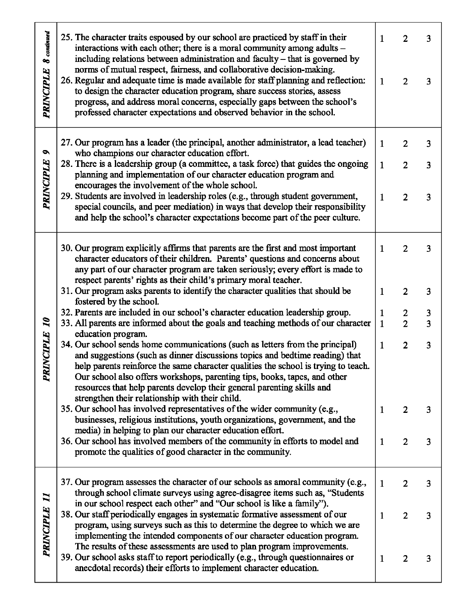| 8 continued<br><b>PRINCIPLE</b>                    | 25. The character traits espoused by our school are practiced by staff in their<br>interactions with each other; there is a moral community among adults -<br>including relations between administration and faculty – that is governed by<br>norms of mutual respect, fairness, and collaborative decision-making.<br>26. Regular and adequate time is made available for staff planning and reflection:<br>to design the character education program, share success stories, assess<br>progress, and address moral concerns, especially gaps between the school's<br>professed character expectations and observed behavior in the school. | $\mathbf{1}$<br>$\mathbf{1}$ | $\overline{2}$<br>$\overline{2}$ | $\overline{\mathbf{3}}$<br>3                       |
|----------------------------------------------------|----------------------------------------------------------------------------------------------------------------------------------------------------------------------------------------------------------------------------------------------------------------------------------------------------------------------------------------------------------------------------------------------------------------------------------------------------------------------------------------------------------------------------------------------------------------------------------------------------------------------------------------------|------------------------------|----------------------------------|----------------------------------------------------|
| $\bullet$<br>PRINCIPLE                             | 27. Our program has a leader (the principal, another administrator, a lead teacher)<br>who champions our character education effort.                                                                                                                                                                                                                                                                                                                                                                                                                                                                                                         | $\mathbf{1}$                 | 2                                | 3                                                  |
|                                                    | 28. There is a leadership group (a committee, a task force) that guides the ongoing<br>planning and implementation of our character education program and                                                                                                                                                                                                                                                                                                                                                                                                                                                                                    | $\mathbf{1}$                 | $\overline{2}$                   | 3                                                  |
|                                                    | encourages the involvement of the whole school.<br>29. Students are involved in leadership roles (e.g., through student government,<br>special councils, and peer mediation) in ways that develop their responsibility<br>and help the school's character expectations become part of the peer culture.                                                                                                                                                                                                                                                                                                                                      | $\mathbf{1}$                 | $\overline{2}$                   | 3                                                  |
|                                                    | 30. Our program explicitly affirms that parents are the first and most important<br>character educators of their children. Parents' questions and concerns about<br>any part of our character program are taken seriously; every effort is made to<br>respect parents' rights as their child's primary moral teacher.                                                                                                                                                                                                                                                                                                                        | $\mathbf{1}$                 | $\overline{2}$                   | 3                                                  |
|                                                    | 31. Our program asks parents to identify the character qualities that should be<br>fostered by the school.                                                                                                                                                                                                                                                                                                                                                                                                                                                                                                                                   | $\mathbf{1}$                 | $\overline{2}$                   | 3                                                  |
| $\boldsymbol{\mathcal{U}}$<br><b>NNCIPLE</b><br>P. | 32. Parents are included in our school's character education leadership group.<br>33. All parents are informed about the goals and teaching methods of our character<br>education program.                                                                                                                                                                                                                                                                                                                                                                                                                                                   | $\mathbf{1}$<br>$\mathbf{1}$ | $\frac{2}{2}$                    | $\overline{\mathbf{3}}$<br>$\overline{\mathbf{3}}$ |
|                                                    | 34. Our school sends home communications (such as letters from the principal)<br>and suggestions (such as dinner discussions topics and bedtime reading) that<br>help parents reinforce the same character qualities the school is trying to teach.<br>Our school also offers workshops, parenting tips, books, tapes, and other<br>resources that help parents develop their general parenting skills and<br>strengthen their relationship with their child.                                                                                                                                                                                | $\mathbf{1}$                 | $\overline{2}$                   | 3                                                  |
|                                                    | 35. Our school has involved representatives of the wider community (e.g.,<br>businesses, religious institutions, youth organizations, government, and the<br>media) in helping to plan our character education effort.                                                                                                                                                                                                                                                                                                                                                                                                                       | $\mathbf{1}$                 | $\overline{2}$                   | 3                                                  |
|                                                    | 36. Our school has involved members of the community in efforts to model and<br>promote the qualities of good character in the community.                                                                                                                                                                                                                                                                                                                                                                                                                                                                                                    | $\mathbf{1}$                 | $\overline{2}$                   | 3                                                  |
| $\overline{\mathbf{u}}$<br><b>PRINCIPLE</b>        | 37. Our program assesses the character of our schools as amoral community (e.g.,<br>through school climate surveys using agree-disagree items such as, "Students<br>in our school respect each other" and "Our school is like a family").                                                                                                                                                                                                                                                                                                                                                                                                    | $\mathbf{1}$                 | 2                                | 3                                                  |
|                                                    | 38. Our staff periodically engages in systematic formative assessment of our<br>program, using surveys such as this to determine the degree to which we are<br>implementing the intended components of our character education program.                                                                                                                                                                                                                                                                                                                                                                                                      | $\mathbf{1}$                 | $\overline{2}$                   | 3                                                  |
|                                                    | The results of these assessments are used to plan program improvements.<br>39. Our school asks staff to report periodically (e.g., through questionnaires or<br>anecdotal records) their efforts to implement character education.                                                                                                                                                                                                                                                                                                                                                                                                           | $\mathbf 1$                  | 2                                | 3                                                  |